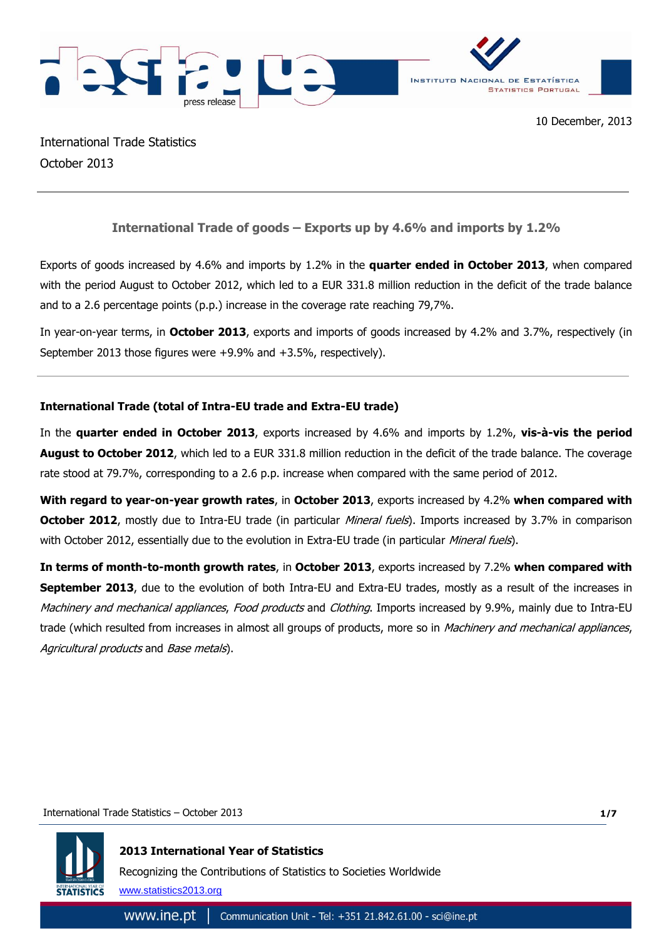

International Trade Statistics October 2013

# **International Trade of goods – Exports up by 4.6% and imports by 1.2%**

Exports of goods increased by 4.6% and imports by 1.2% in the **quarter ended in October 2013**, when compared with the period August to October 2012, which led to a EUR 331.8 million reduction in the deficit of the trade balance and to a 2.6 percentage points (p.p.) increase in the coverage rate reaching 79,7%.

In year-on-year terms, in **October 2013**, exports and imports of goods increased by 4.2% and 3.7%, respectively (in September 2013 those figures were +9.9% and +3.5%, respectively).

# **International Trade (total of Intra-EU trade and Extra-EU trade)**

In the **quarter ended in October 2013**, exports increased by 4.6% and imports by 1.2%, **vis-à-vis the period August to October 2012**, which led to a EUR 331.8 million reduction in the deficit of the trade balance. The coverage rate stood at 79.7%, corresponding to a 2.6 p.p. increase when compared with the same period of 2012.

**With regard to year-on-year growth rates**, in **October 2013**, exports increased by 4.2% **when compared with October 2012**, mostly due to Intra-EU trade (in particular *Mineral fuels*). Imports increased by 3.7% in comparison with October 2012, essentially due to the evolution in Extra-EU trade (in particular Mineral fuels).

**In terms of month-to-month growth rates**, in **October 2013**, exports increased by 7.2% **when compared with September 2013**, due to the evolution of both Intra-EU and Extra-EU trades, mostly as a result of the increases in Machinery and mechanical appliances, Food products and Clothing. Imports increased by 9.9%, mainly due to Intra-EU trade (which resulted from increases in almost all groups of products, more so in *Machinery and mechanical appliances*, Agricultural products and Base metals).

### International Trade Statistics – October 2013

**1/7**



**2013 International Year of Statistics**

Recognizing the Contributions of Statistics to Societies Worldwide

www.statistics2013.org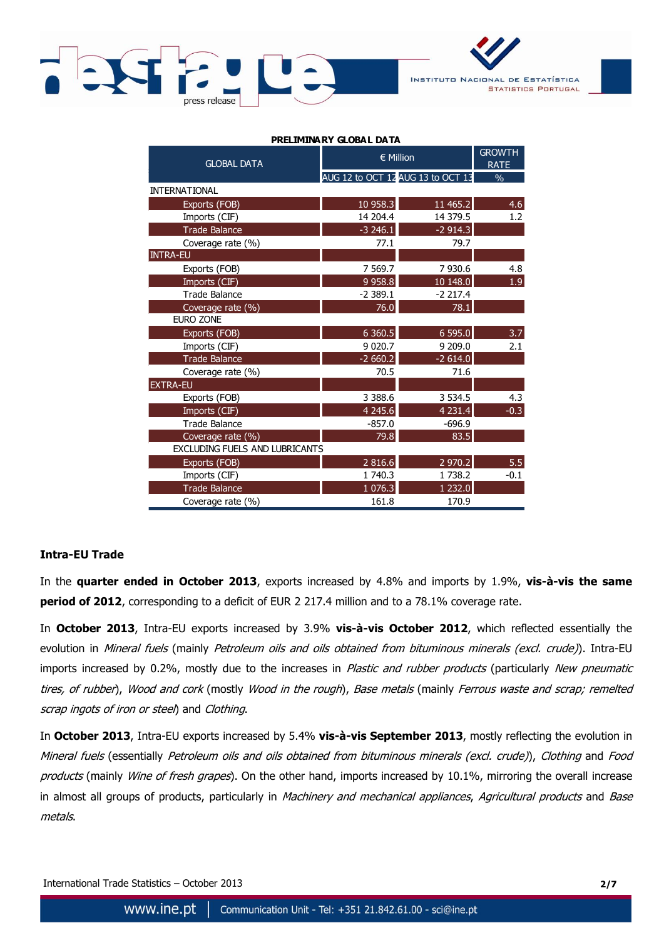



| PRELIMINARY GLOBAL DATA               |                                   |                              |        |  |  |  |  |  |
|---------------------------------------|-----------------------------------|------------------------------|--------|--|--|--|--|--|
| <b>GLOBAL DATA</b>                    | $\in$ Million                     | <b>GROWTH</b><br><b>RATE</b> |        |  |  |  |  |  |
|                                       | AUG 12 to OCT 12 AUG 13 to OCT 13 | $\frac{0}{0}$                |        |  |  |  |  |  |
| <b>INTERNATIONAL</b>                  |                                   |                              |        |  |  |  |  |  |
| Exports (FOB)                         | 10 958.3                          | 11 465.2                     | 4.6    |  |  |  |  |  |
| Imports (CIF)                         | 14 204.4                          | 14 379.5                     | 1.2    |  |  |  |  |  |
| <b>Trade Balance</b>                  | $-3246.1$                         | $-2914.3$                    |        |  |  |  |  |  |
| Coverage rate (%)                     | 77.1                              | 79.7                         |        |  |  |  |  |  |
| <b>INTRA-EU</b>                       |                                   |                              |        |  |  |  |  |  |
| Exports (FOB)                         | 7 5 6 9.7                         | 7 930.6                      | 4.8    |  |  |  |  |  |
| Imports (CIF)                         | 9 9 58.8                          | 10 148.0                     | 1.9    |  |  |  |  |  |
| <b>Trade Balance</b>                  | $-2389.1$                         | $-2217.4$                    |        |  |  |  |  |  |
| Coverage rate (%)                     | 76.0                              | 78.1                         |        |  |  |  |  |  |
| <b>EURO ZONE</b>                      |                                   |                              |        |  |  |  |  |  |
| Exports (FOB)                         | 6 3 6 0.5                         | 6 595.0                      | 3.7    |  |  |  |  |  |
| Imports (CIF)                         | 9 0 20.7                          | 9 209.0                      | 2.1    |  |  |  |  |  |
| <b>Trade Balance</b>                  | $-2660.2$                         | $-2614.0$                    |        |  |  |  |  |  |
| Coverage rate (%)                     | 70.5                              | 71.6                         |        |  |  |  |  |  |
| <b>EXTRA-EU</b>                       |                                   |                              |        |  |  |  |  |  |
| Exports (FOB)                         | 3 3 8 8.6                         | 3 5 3 4 . 5                  | 4.3    |  |  |  |  |  |
| Imports (CIF)                         | 4 2 4 5 . 6                       | 4 2 3 1.4                    | $-0.3$ |  |  |  |  |  |
| <b>Trade Balance</b>                  | $-857.0$                          | $-696.9$                     |        |  |  |  |  |  |
| Coverage rate (%)                     | 79.8                              | 83.5                         |        |  |  |  |  |  |
| <b>EXCLUDING FUELS AND LUBRICANTS</b> |                                   |                              |        |  |  |  |  |  |
| Exports (FOB)                         | 2 8 1 6 . 6                       | 2 970.2                      | 5.5    |  |  |  |  |  |
| Imports (CIF)                         | 1 740.3                           | 1 738.2                      | $-0.1$ |  |  |  |  |  |
| <b>Trade Balance</b>                  | 1076.3                            | 1 2 3 2 . 0                  |        |  |  |  |  |  |
| Coverage rate (%)                     | 161.8                             | 170.9                        |        |  |  |  |  |  |

## **Intra-EU Trade**

In the **quarter ended in October 2013**, exports increased by 4.8% and imports by 1.9%, **vis-à-vis the same period of 2012**, corresponding to a deficit of EUR 2 217.4 million and to a 78.1% coverage rate.

In **October 2013**, Intra-EU exports increased by 3.9% **vis-à-vis October 2012**, which reflected essentially the evolution in Mineral fuels (mainly Petroleum oils and oils obtained from bituminous minerals (excl. crude)). Intra-EU imports increased by 0.2%, mostly due to the increases in Plastic and rubber products (particularly New pneumatic tires, of rubber), Wood and cork (mostly Wood in the rough), Base metals (mainly Ferrous waste and scrap; remelted scrap ingots of iron or steel) and Clothing.

In **October 2013**, Intra-EU exports increased by 5.4% **vis-à-vis September 2013**, mostly reflecting the evolution in Mineral fuels (essentially Petroleum oils and oils obtained from bituminous minerals (excl. crude)), Clothing and Food products (mainly Wine of fresh grapes). On the other hand, imports increased by 10.1%, mirroring the overall increase in almost all groups of products, particularly in Machinery and mechanical appliances, Agricultural products and Base metals.

International Trade Statistics – October 2013 **2/7**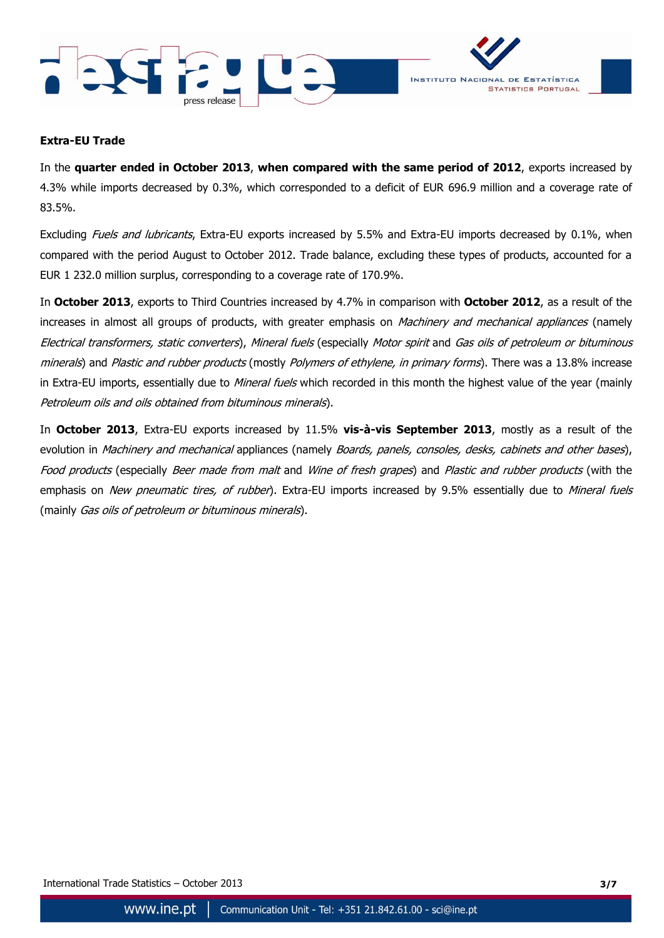



## **Extra-EU Trade**

In the **quarter ended in October 2013**, **when compared with the same period of 2012**, exports increased by 4.3% while imports decreased by 0.3%, which corresponded to a deficit of EUR 696.9 million and a coverage rate of 83.5%.

Excluding Fuels and lubricants, Extra-EU exports increased by 5.5% and Extra-EU imports decreased by 0.1%, when compared with the period August to October 2012. Trade balance, excluding these types of products, accounted for a EUR 1 232.0 million surplus, corresponding to a coverage rate of 170.9%.

In **October 2013**, exports to Third Countries increased by 4.7% in comparison with **October 2012**, as a result of the increases in almost all groups of products, with greater emphasis on Machinery and mechanical appliances (namely Electrical transformers, static converters), Mineral fuels (especially Motor spirit and Gas oils of petroleum or bituminous minerals) and Plastic and rubber products (mostly Polymers of ethylene, in primary forms). There was a 13.8% increase in Extra-EU imports, essentially due to Mineral fuels which recorded in this month the highest value of the year (mainly Petroleum oils and oils obtained from bituminous minerals).

In **October 2013**, Extra-EU exports increased by 11.5% **vis-à-vis September 2013**, mostly as a result of the evolution in *Machinery and mechanical* appliances (namely *Boards, panels, consoles, desks, cabinets and other bases*), Food products (especially Beer made from malt and Wine of fresh grapes) and Plastic and rubber products (with the emphasis on New pneumatic tires, of rubber). Extra-EU imports increased by 9.5% essentially due to Mineral fuels (mainly *Gas oils of petroleum or bituminous minerals*).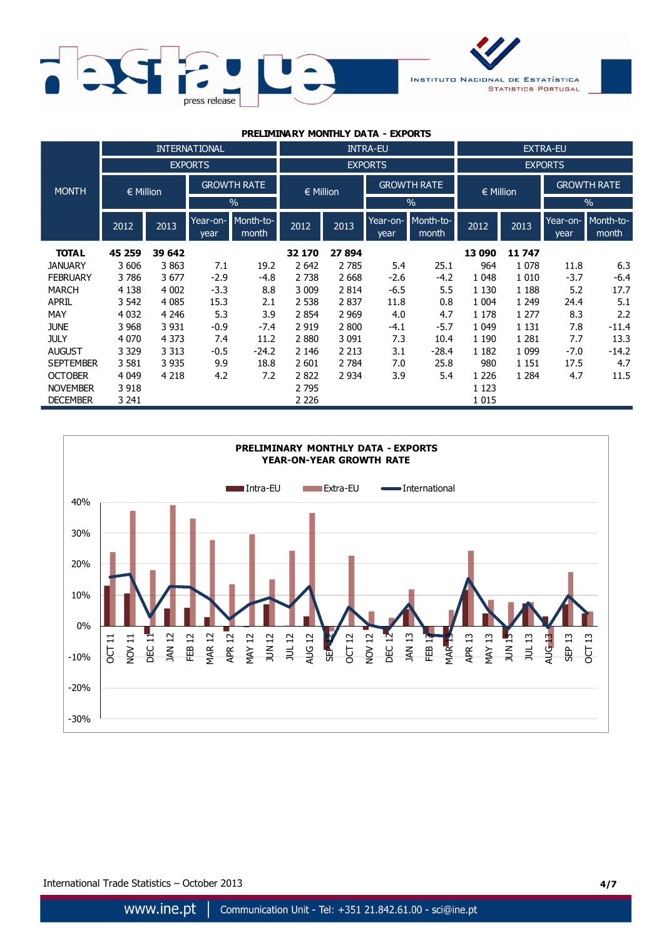



| PRELIMINARY MONTHLY DATA - EXPORTS |               |         |                      |                    |               |         |                    |                    |                 |         |                    |                    |  |
|------------------------------------|---------------|---------|----------------------|--------------------|---------------|---------|--------------------|--------------------|-----------------|---------|--------------------|--------------------|--|
|                                    |               |         | <b>INTERNATIONAL</b> | <b>INTRA-EU</b>    |               |         |                    |                    | <b>EXTRA-EU</b> |         |                    |                    |  |
|                                    |               |         | <b>EXPORTS</b>       |                    |               |         | <b>EXPORTS</b>     |                    |                 |         | <b>EXPORTS</b>     |                    |  |
| <b>MONTH</b>                       | $\in$ Million |         | <b>GROWTH RATE</b>   |                    | $\in$ Million |         | <b>GROWTH RATE</b> |                    | $\in$ Million   |         | <b>GROWTH RATE</b> |                    |  |
|                                    |               |         |                      | $\%$               |               |         | $\frac{0}{0}$      |                    |                 |         | $\%$               |                    |  |
|                                    | 2012          | 2013    | Year-on-<br>year     | Month-to-<br>month | 2012          | 2013    | Year-on-<br>year   | Month-to-<br>month | 2012            | 2013    | Year-on-<br>year   | Month-to-<br>month |  |
| <b>TOTAL</b>                       | 45 259        | 39 642  |                      |                    | 32 170        | 27 894  |                    |                    | 13 090          | 11 747  |                    |                    |  |
| <b>JANUARY</b>                     | 3 606         | 3863    | 7.1                  | 19.2               | 2 6 4 2       | 2 7 8 5 | 5.4                | 25.1               | 964             | 1 0 7 8 | 11.8               | 6.3                |  |
| <b>FEBRUARY</b>                    | 3786          | 3677    | $-2.9$               | $-4.8$             | 2 7 3 8       | 2 6 6 8 | $-2.6$             | $-4.2$             | 1 0 4 8         | 1 0 1 0 | $-3.7$             | $-6.4$             |  |
| <b>MARCH</b>                       | 4 1 3 8       | 4 0 0 2 | $-3.3$               | 8.8                | 3 0 0 9       | 2 8 1 4 | $-6.5$             | 5.5                | 1 1 3 0         | 1 1 8 8 | 5.2                | 17.7               |  |
| <b>APRIL</b>                       | 3 5 4 2       | 4 0 8 5 | 15.3                 | 2.1                | 2 5 3 8       | 2837    | 11.8               | 0.8                | 1 0 0 4         | 1 2 4 9 | 24.4               | 5.1                |  |
| MAY                                | 4 0 32        | 4 2 4 6 | 5.3                  | 3.9                | 2 8 5 4       | 2 9 6 9 | 4.0                | 4.7                | 1 1 7 8         | 1 2 7 7 | 8.3                | 2.2                |  |
| <b>JUNE</b>                        | 3 9 6 8       | 3 9 3 1 | $-0.9$               | $-7.4$             | 2 9 1 9       | 2 800   | -4.1               | $-5.7$             | 1 0 4 9         | 1 1 3 1 | 7.8                | $-11.4$            |  |
| <b>JULY</b>                        | 4 0 7 0       | 4 3 7 3 | 7.4                  | 11.2               | 2880          | 3 0 9 1 | 7.3                | 10.4               | 1 1 9 0         | 1 2 8 1 | 7.7                | 13.3               |  |
| <b>AUGUST</b>                      | 3 3 2 9       | 3 3 1 3 | $-0.5$               | $-24.2$            | 2 1 4 6       | 2 2 1 3 | 3.1                | $-28.4$            | 1 1 8 2         | 1 0 9 9 | $-7.0$             | $-14.2$            |  |
| <b>SEPTEMBER</b>                   | 3 5 8 1       | 3 9 3 5 | 9.9                  | 18.8               | 2 601         | 2 7 8 4 | 7.0                | 25.8               | 980             | 1 1 5 1 | 17.5               | 4.7                |  |
| <b>OCTOBER</b>                     | 4 0 4 9       | 4 2 1 8 | 4.2                  | 7.2                | 2822          | 2 9 3 4 | 3.9                | 5.4                | 1 2 2 6         | 1 2 8 4 | 4.7                | 11.5               |  |
| <b>NOVEMBER</b>                    | 3 9 18        |         |                      |                    | 2 7 9 5       |         |                    |                    | 1 1 2 3         |         |                    |                    |  |
| <b>DECEMBER</b>                    | 3 241         |         |                      |                    | 2 2 2 6       |         |                    |                    | 1 0 1 5         |         |                    |                    |  |



International Trade Statistics – October 2013 **4/7**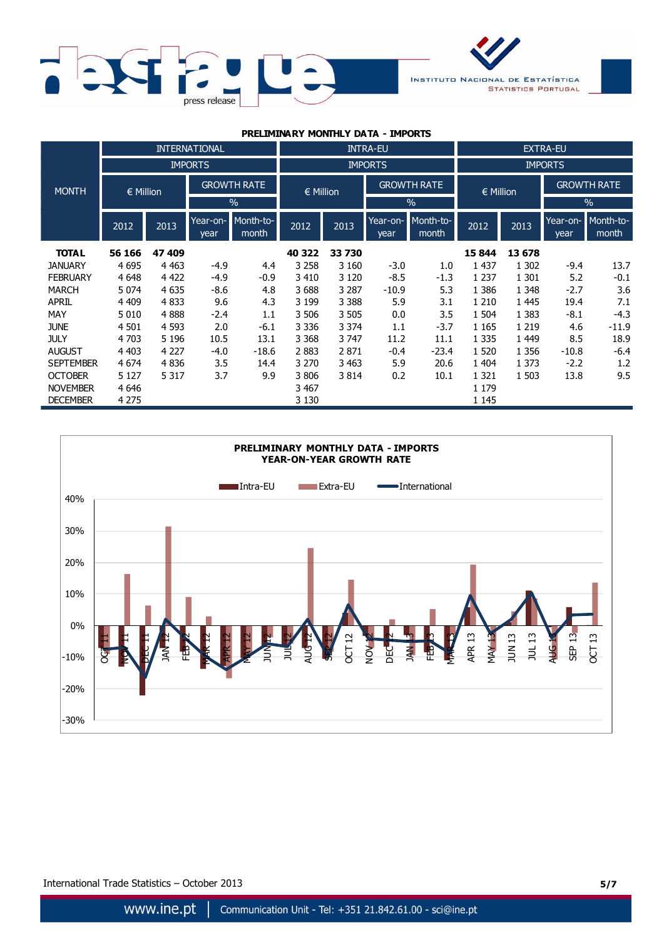



| PRELIMINARY MONTHLY DATA - IMPORTS |               |         |                      |                    |                 |         |                    |                    |                 |         |                    |                    |  |  |
|------------------------------------|---------------|---------|----------------------|--------------------|-----------------|---------|--------------------|--------------------|-----------------|---------|--------------------|--------------------|--|--|
|                                    |               |         | <b>INTERNATIONAL</b> |                    | <b>INTRA-EU</b> |         |                    |                    | <b>EXTRA-EU</b> |         |                    |                    |  |  |
|                                    |               |         | <b>IMPORTS</b>       |                    |                 |         | <b>IMPORTS</b>     |                    |                 |         | <b>IMPORTS</b>     |                    |  |  |
| <b>MONTH</b>                       | $\in$ Million |         | <b>GROWTH RATE</b>   |                    | $\in$ Million   |         | <b>GROWTH RATE</b> |                    | € Million       |         | <b>GROWTH RATE</b> |                    |  |  |
|                                    |               |         |                      | $\frac{0}{0}$      |                 |         | $\frac{0}{0}$      |                    |                 |         | $\frac{0}{0}$      |                    |  |  |
|                                    | 2012          | 2013    | Year-on-<br>year     | Month-to-<br>month | 2012            | 2013    | Year-on-<br>year   | Month-to-<br>month | 2012            | 2013    | Year-on-<br>year   | Month-to-<br>month |  |  |
| <b>TOTAL</b>                       | 56 166        | 47 409  |                      |                    | 40 322          | 33 730  |                    |                    | 15 844          | 13 678  |                    |                    |  |  |
| <b>JANUARY</b>                     | 4695          | 4 4 6 3 | $-4.9$               | 4.4                | 3 2 5 8         | 3 1 6 0 | $-3.0$             | 1.0                | 1 4 3 7         | 1 3 0 2 | $-9.4$             | 13.7               |  |  |
| <b>FEBRUARY</b>                    | 4 6 4 8       | 4 4 2 2 | $-4.9$               | $-0.9$             | 3 4 1 0         | 3 1 2 0 | $-8.5$             | $-1.3$             | 1 2 3 7         | 1 3 0 1 | 5.2                | $-0.1$             |  |  |
| <b>MARCH</b>                       | 5 0 7 4       | 4 6 3 5 | $-8.6$               | 4.8                | 3688            | 3 2 8 7 | $-10.9$            | 5.3                | 1 3 8 6         | 1 3 4 8 | $-2.7$             | 3.6                |  |  |
| <b>APRIL</b>                       | 4 4 0 9       | 4833    | 9.6                  | 4.3                | 3 1 9 9         | 3 3 8 8 | 5.9                | 3.1                | 1 2 1 0         | 1 4 4 5 | 19.4               | 7.1                |  |  |
| MAY                                | 5 0 1 0       | 4888    | $-2.4$               | 1.1                | 3 506           | 3 5 0 5 | 0.0                | 3.5                | 1 504           | 1 3 8 3 | $-8.1$             | $-4.3$             |  |  |
| <b>JUNE</b>                        | 4 5 0 1       | 4 5 9 3 | 2.0                  | $-6.1$             | 3 3 3 6         | 3 3 7 4 | 1.1                | $-3.7$             | 1 1 6 5         | 1 2 1 9 | 4.6                | $-11.9$            |  |  |
| <b>JULY</b>                        | 4 703         | 5 1 9 6 | 10.5                 | 13.1               | 3 3 6 8         | 3747    | 11.2               | 11.1               | 1 3 3 5         | 1 4 4 9 | 8.5                | 18.9               |  |  |
| <b>AUGUST</b>                      | 4 4 0 3       | 4 2 2 7 | $-4.0$               | $-18.6$            | 2883            | 2871    | $-0.4$             | $-23.4$            | 1 5 2 0         | 1 3 5 6 | $-10.8$            | $-6.4$             |  |  |
| <b>SEPTEMBER</b>                   | 4 6 7 4       | 4836    | 3.5                  | 14.4               | 3 2 7 0         | 3 4 6 3 | 5.9                | 20.6               | 1 404           | 1 3 7 3 | $-2.2$             | 1.2                |  |  |
| <b>OCTOBER</b>                     | 5 1 2 7       | 5 3 1 7 | 3.7                  | 9.9                | 3806            | 3814    | 0.2                | 10.1               | 1 3 2 1         | 1 503   | 13.8               | 9.5                |  |  |
| <b>NOVEMBER</b>                    | 4 6 4 6       |         |                      |                    | 3 4 6 7         |         |                    |                    | 1 1 7 9         |         |                    |                    |  |  |
| <b>DECEMBER</b>                    | 4 2 7 5       |         |                      |                    | 3 1 3 0         |         |                    |                    | 1 1 4 5         |         |                    |                    |  |  |



International Trade Statistics – October 2013 **5/7**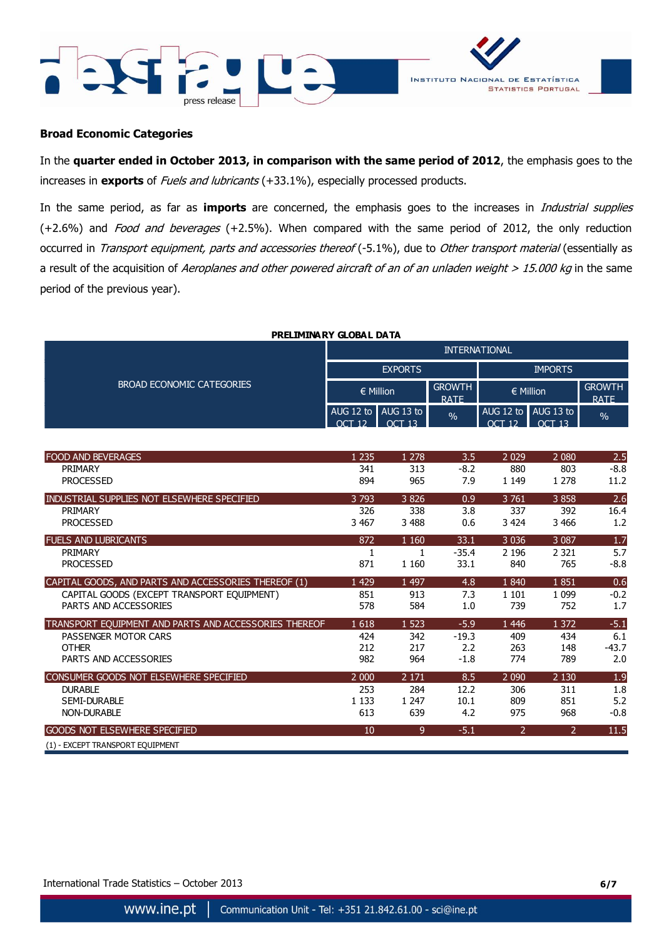



#### **Broad Economic Categories**

In the **quarter ended in October 2013, in comparison with the same period of 2012**, the emphasis goes to the increases in **exports** of Fuels and lubricants (+33.1%), especially processed products.

In the same period, as far as **imports** are concerned, the emphasis goes to the increases in Industrial supplies  $(+2.6%)$  and *Food and beverages*  $(+2.5%)$ . When compared with the same period of 2012, the only reduction occurred in Transport equipment, parts and accessories thereof (-5.1%), due to Other transport material (essentially as a result of the acquisition of Aeroplanes and other powered aircraft of an of an unladen weight  $> 15.000$  kg in the same period of the previous year).

| PRELIMINARY GLOBAL DATA   |                      |                     |                              |                |                                         |                              |  |  |
|---------------------------|----------------------|---------------------|------------------------------|----------------|-----------------------------------------|------------------------------|--|--|
| BROAD ECONOMIC CATEGORIES | <b>INTERNATIONAL</b> |                     |                              |                |                                         |                              |  |  |
|                           | <b>EXPORTS</b>       |                     |                              | <b>IMPORTS</b> |                                         |                              |  |  |
|                           | $\in$ Million        |                     | <b>GROWTH</b><br><b>RATE</b> | $\in$ Million  |                                         | <b>GROWTH</b><br><b>RATF</b> |  |  |
|                           | OCT                  | AUG 12 to AUG 13 to | $\frac{0}{6}$                | $\cap$ $\cap$  | AUG 12 to AUG 13 to I<br>$\bigcap$ T 13 | $\frac{9}{6}$                |  |  |

| <b>FOOD AND BEVERAGES</b>                             | 1 2 3 5 | 1 2 7 8 | 3.5     | 2 0 2 9        | 2 0 8 0        | 2.5     |
|-------------------------------------------------------|---------|---------|---------|----------------|----------------|---------|
| PRIMARY                                               | 341     | 313     | $-8.2$  | 880            | 803            | $-8.8$  |
| <b>PROCESSED</b>                                      | 894     | 965     | 7.9     | 1 1 4 9        | 1 2 7 8        | 11.2    |
| INDUSTRIAL SUPPLIES NOT ELSEWHERE SPECIFIED           | 3793    | 3826    | 0.9     | 3 7 6 1        | 3858           | 2.6     |
| PRIMARY                                               | 326     | 338     | 3.8     | 337            | 392            | 16.4    |
| <b>PROCESSED</b>                                      | 3 4 6 7 | 3 4 8 8 | 0.6     | 3 4 2 4        | 3 4 6 6        | 1.2     |
| <b>FUELS AND LUBRICANTS</b>                           | 872     | 1 1 6 0 | 33.1    | 3 0 3 6        | 3 0 8 7        | 1.7     |
| PRIMARY                                               |         |         | $-35.4$ | 2 1 9 6        | 2 3 2 1        | 5.7     |
| <b>PROCESSED</b>                                      | 871     | 1 1 6 0 | 33.1    | 840            | 765            | $-8.8$  |
| CAPITAL GOODS, AND PARTS AND ACCESSORIES THEREOF (1)  | 1 4 2 9 | 1 4 9 7 | 4.8     | 1840           | 1851           | 0.6     |
| CAPITAL GOODS (EXCEPT TRANSPORT EQUIPMENT)            | 851     | 913     | 7.3     | 1 1 0 1        | 1 0 9 9        | $-0.2$  |
| PARTS AND ACCESSORIES                                 | 578     | 584     | 1.0     | 739            | 752            | 1.7     |
| TRANSPORT EQUIPMENT AND PARTS AND ACCESSORIES THEREOF | 1618    | 1 5 2 3 | $-5.9$  | 1 4 4 6        | 1 372          | $-5.1$  |
| PASSENGER MOTOR CARS                                  | 424     | 342     | $-19.3$ | 409            | 434            | 6.1     |
| <b>OTHER</b>                                          | 212     | 217     | 2.2     | 263            | 148            | $-43.7$ |
| PARTS AND ACCESSORIES                                 | 982     | 964     | $-1.8$  | 774            | 789            | 2.0     |
| CONSUMER GOODS NOT ELSEWHERE SPECIFIED                | 2 0 0 0 | 2 1 7 1 | 8.5     | 2 0 9 0        | 2 1 3 0        | 1.9     |
| <b>DURABLE</b>                                        | 253     | 284     | 12.2    | 306            | 311            | 1.8     |
| SEMI-DURABLE                                          | 1 1 3 3 | 1 2 4 7 | 10.1    | 809            | 851            | 5.2     |
| <b>NON-DURABLE</b>                                    | 613     | 639     | 4.2     | 975            | 968            | $-0.8$  |
| <b>GOODS NOT ELSEWHERE SPECIFIED</b>                  | 10      | 9       | $-5.1$  | $\overline{2}$ | $\overline{2}$ | 11.5    |
| (1) - EXCEPT TRANSPORT EOUIPMENT                      |         |         |         |                |                |         |